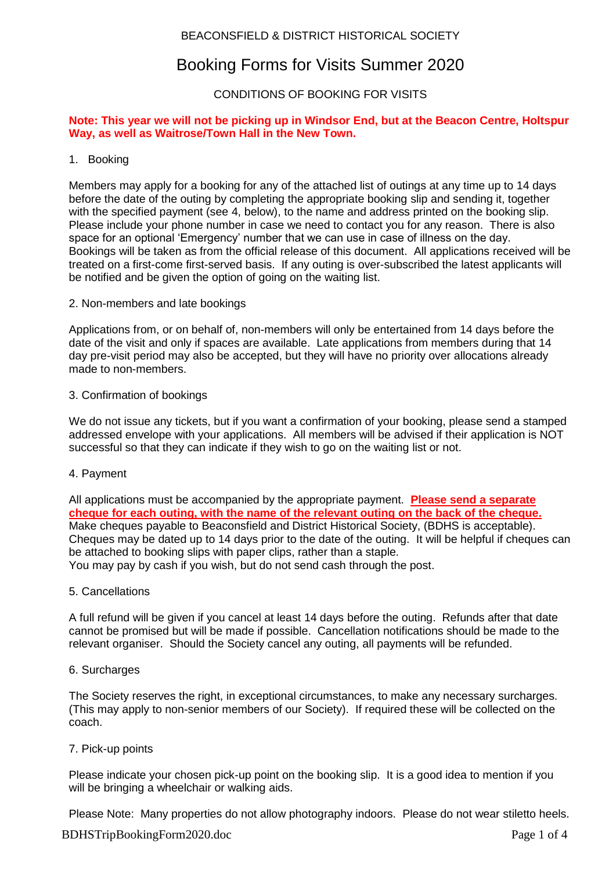# BEACONSFIELD & DISTRICT HISTORICAL SOCIETY

# Booking Forms for Visits Summer 2020

# CONDITIONS OF BOOKING FOR VISITS

### **Note: This year we will not be picking up in Windsor End, but at the Beacon Centre, Holtspur Way, as well as Waitrose/Town Hall in the New Town.**

### 1. Booking

Members may apply for a booking for any of the attached list of outings at any time up to 14 days before the date of the outing by completing the appropriate booking slip and sending it, together with the specified payment (see 4, below), to the name and address printed on the booking slip. Please include your phone number in case we need to contact you for any reason. There is also space for an optional 'Emergency' number that we can use in case of illness on the day. Bookings will be taken as from the official release of this document. All applications received will be treated on a first-come first-served basis. If any outing is over-subscribed the latest applicants will be notified and be given the option of going on the waiting list.

2. Non-members and late bookings

Applications from, or on behalf of, non-members will only be entertained from 14 days before the date of the visit and only if spaces are available. Late applications from members during that 14 day pre-visit period may also be accepted, but they will have no priority over allocations already made to non-members.

### 3. Confirmation of bookings

We do not issue any tickets, but if you want a confirmation of your booking, please send a stamped addressed envelope with your applications. All members will be advised if their application is NOT successful so that they can indicate if they wish to go on the waiting list or not.

4. Payment

All applications must be accompanied by the appropriate payment. **Please send a separate cheque for each outing, with the name of the relevant outing on the back of the cheque.** Make cheques payable to Beaconsfield and District Historical Society, (BDHS is acceptable). Cheques may be dated up to 14 days prior to the date of the outing. It will be helpful if cheques can be attached to booking slips with paper clips, rather than a staple. You may pay by cash if you wish, but do not send cash through the post.

5. Cancellations

A full refund will be given if you cancel at least 14 days before the outing. Refunds after that date cannot be promised but will be made if possible. Cancellation notifications should be made to the relevant organiser. Should the Society cancel any outing, all payments will be refunded.

6. Surcharges

The Society reserves the right, in exceptional circumstances, to make any necessary surcharges. (This may apply to non-senior members of our Society). If required these will be collected on the coach.

7. Pick-up points

Please indicate your chosen pick-up point on the booking slip. It is a good idea to mention if you will be bringing a wheelchair or walking aids.

BDHSTripBookingForm2020.doc Page 1 of 4 Please Note: Many properties do not allow photography indoors. Please do not wear stiletto heels.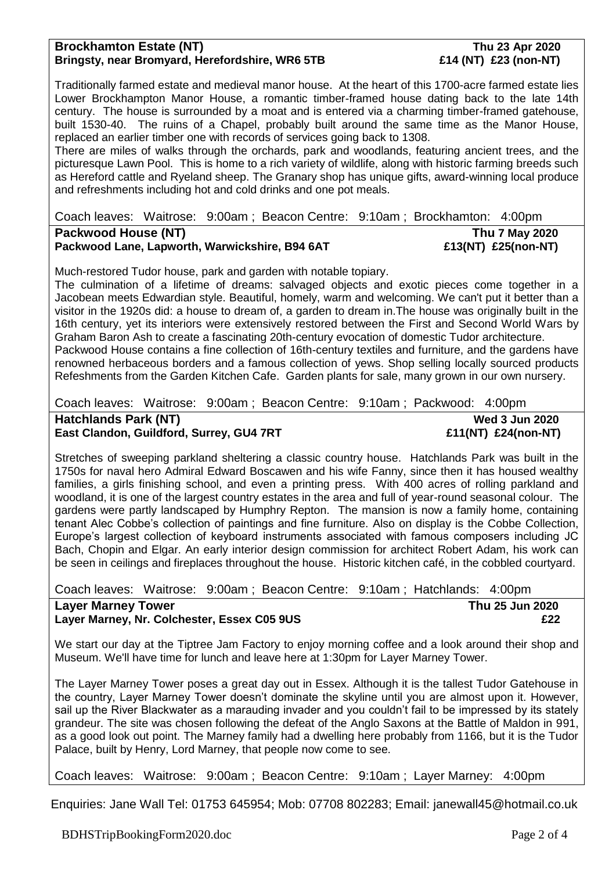### **Brockhamton Estate (NT) Thu 23 Apr 2020 Bringsty, near Bromyard, Herefordshire, WR6 5TB £14 (NT) £23 (non-NT)**

Traditionally farmed estate and medieval manor house. At the heart of this 1700-acre farmed estate lies Lower Brockhampton Manor House, a romantic timber-framed house dating back to the late 14th century. The house is surrounded by a moat and is entered via a charming timber-framed gatehouse, built 1530-40. The ruins of a Chapel, probably built around the same time as the Manor House, replaced an earlier timber one with records of services going back to 1308.

There are miles of walks through the orchards, park and woodlands, featuring ancient trees, and the picturesque Lawn Pool. This is home to a rich variety of wildlife, along with historic farming breeds such as Hereford cattle and Ryeland sheep. The Granary shop has unique gifts, award-winning local produce and refreshments including hot and cold drinks and one pot meals.

Coach leaves: Waitrose: 9:00am ; Beacon Centre: 9:10am ; Brockhamton: 4:00pm

**Packwood House (NT)** Thu 7 May 2020 Packwood Lane, Lapworth, Warwickshire, B94 6AT **1988** E13(NT) £25(non-NT)

Much-restored Tudor house, park and garden with notable topiary.

The culmination of a lifetime of dreams: salvaged objects and exotic pieces come together in a Jacobean meets Edwardian style. Beautiful, homely, warm and welcoming. We can't put it better than a visitor in the 1920s did: a house to dream of, a garden to dream in.The house was originally built in the 16th century, yet its interiors were extensively restored between the First and Second World Wars by Graham Baron Ash to create a fascinating 20th-century evocation of domestic Tudor architecture. Packwood House contains a fine collection of 16th-century textiles and furniture, and the gardens have renowned herbaceous borders and a famous collection of yews. Shop selling locally sourced products Refeshments from the Garden Kitchen Cafe. Garden plants for sale, many grown in our own nursery.

Coach leaves: Waitrose: 9:00am ; Beacon Centre: 9:10am ; Packwood: 4:00pm

**Hatchlands Park (NT) Wed 3 Jun 2020 East Clandon, Guildford, Surrey, GU4 7RT £11(NT) £24(non-NT)**

Stretches of sweeping parkland sheltering a classic country house. Hatchlands Park was built in the 1750s for naval hero Admiral Edward Boscawen and his wife Fanny, since then it has housed wealthy families, a girls finishing school, and even a printing press. With 400 acres of rolling parkland and woodland, it is one of the largest country estates in the area and full of year-round seasonal colour. The gardens were partly landscaped by Humphry Repton. The mansion is now a family home, containing tenant Alec Cobbe's collection of paintings and fine furniture. Also on display is the Cobbe Collection, Europe's largest collection of keyboard instruments associated with famous composers including JC Bach, Chopin and Elgar. An early interior design commission for architect Robert Adam, his work can be seen in ceilings and fireplaces throughout the house. Historic kitchen café, in the cobbled courtyard.

### Coach leaves: Waitrose: 9:00am ; Beacon Centre: 9:10am ; Hatchlands: 4:00pm **Layer Marney Tower Thu 25 Jun 2020 Layer Marney, Nr. Colchester, Essex C05 9US £22**

We start our day at the Tiptree Jam Factory to enjoy morning coffee and a look around their shop and Museum. We'll have time for lunch and leave here at 1:30pm for Layer Marney Tower.

The Layer Marney Tower poses a great day out in Essex. Although it is the tallest Tudor Gatehouse in the country, Layer Marney Tower doesn't dominate the skyline until you are almost upon it. However, sail up the River Blackwater as a marauding invader and you couldn't fail to be impressed by its stately grandeur. The site was chosen following the defeat of the Anglo Saxons at the Battle of Maldon in 991, as a good look out point. The Marney family had a dwelling here probably from 1166, but it is the Tudor Palace, built by Henry, Lord Marney, that people now come to see.

Coach leaves: Waitrose: 9:00am ; Beacon Centre: 9:10am ; Layer Marney: 4:00pm

Enquiries: Jane Wall Tel: 01753 645954; Mob: 07708 802283; Email: janewall45@hotmail.co.uk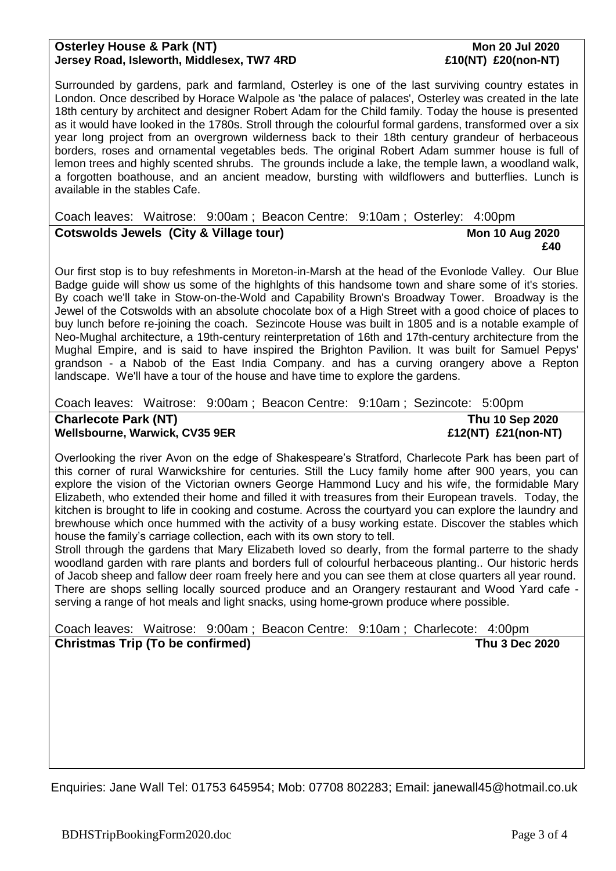### **Osterley House & Park (NT) Mon 20 Jul 2020 Jersey Road, Isleworth, Middlesex, TW7 4RD £10(NT) £20(non-NT)**

Surrounded by gardens, park and farmland, Osterley is one of the last surviving country estates in London. Once described by Horace Walpole as 'the palace of palaces', Osterley was created in the late 18th century by architect and designer Robert Adam for the Child family. Today the house is presented as it would have looked in the 1780s. Stroll through the colourful formal gardens, transformed over a six year long project from an overgrown wilderness back to their 18th century grandeur of herbaceous borders, roses and ornamental vegetables beds. The original Robert Adam summer house is full of lemon trees and highly scented shrubs. The grounds include a lake, the temple lawn, a woodland walk, a forgotten boathouse, and an ancient meadow, bursting with wildflowers and butterflies. Lunch is available in the stables Cafe.

# Coach leaves: Waitrose: 9:00am ; Beacon Centre: 9:10am ; Osterley: 4:00pm **Cotswolds Jewels (City & Village tour) Mon 10 Aug 2020**

 **£40** Our first stop is to buy refeshments in Moreton-in-Marsh at the head of the Evonlode Valley. Our Blue Badge guide will show us some of the highlghts of this handsome town and share some of it's stories. By coach we'll take in Stow-on-the-Wold and Capability Brown's Broadway Tower. Broadway is the Jewel of the Cotswolds with an absolute chocolate box of a High Street with a good choice of places to buy lunch before re-joining the coach. Sezincote House was built in 1805 and is a notable example of Neo-Mughal architecture, a 19th-century reinterpretation of 16th and 17th-century architecture from the Mughal Empire, and is said to have inspired the Brighton Pavilion. It was built for Samuel Pepys' grandson - a Nabob of the East India Company. and has a curving orangery above a Repton landscape. We'll have a tour of the house and have time to explore the gardens.

Coach leaves: Waitrose: 9:00am ; Beacon Centre: 9:10am ; Sezincote: 5:00pm

**Charlecote Park (NT) Thu 10 Sep 2020** Wellsbourne, Warwick, CV35 9ER **Election COVID-21(NT)** £21(non-NT)

Overlooking the river Avon on the edge of Shakespeare's Stratford, Charlecote Park has been part of this corner of rural Warwickshire for centuries. Still the Lucy family home after 900 years, you can explore the vision of the Victorian owners George Hammond Lucy and his wife, the formidable Mary Elizabeth, who extended their home and filled it with treasures from their European travels. Today, the kitchen is brought to life in cooking and costume. Across the courtyard you can explore the laundry and brewhouse which once hummed with the activity of a busy working estate. Discover the stables which house the family's carriage collection, each with its own story to tell.

Stroll through the gardens that Mary Elizabeth loved so dearly, from the formal parterre to the shady woodland garden with rare plants and borders full of colourful herbaceous planting.. Our historic herds of Jacob sheep and fallow deer roam freely here and you can see them at close quarters all year round. There are shops selling locally sourced produce and an Orangery restaurant and Wood Yard cafe serving a range of hot meals and light snacks, using home-grown produce where possible.

# Coach leaves: Waitrose: 9:00am ; Beacon Centre: 9:10am ; Charlecote: 4:00pm **Christmas Trip (To be confirmed) Thu 3 Dec 2020**

Enquiries: Jane Wall Tel: 01753 645954; Mob: 07708 802283; Email: janewall45@hotmail.co.uk